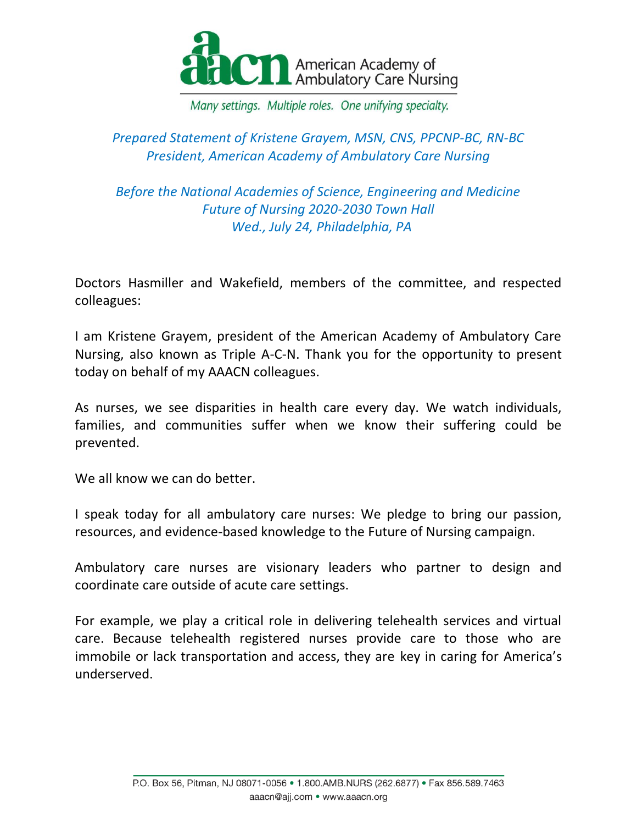

## *Prepared Statement of Kristene Grayem, MSN, CNS, PPCNP-BC, RN-BC President, American Academy of Ambulatory Care Nursing*

*Before the National Academies of Science, Engineering and Medicine Future of Nursing 2020-2030 Town Hall Wed., July 24, Philadelphia, PA*

Doctors Hasmiller and Wakefield, members of the committee, and respected colleagues:

I am Kristene Grayem, president of the American Academy of Ambulatory Care Nursing, also known as Triple A-C-N. Thank you for the opportunity to present today on behalf of my AAACN colleagues.

As nurses, we see disparities in health care every day. We watch individuals, families, and communities suffer when we know their suffering could be prevented.

We all know we can do better.

I speak today for all ambulatory care nurses: We pledge to bring our passion, resources, and evidence-based knowledge to the Future of Nursing campaign.

Ambulatory care nurses are visionary leaders who partner to design and coordinate care outside of acute care settings.

For example, we play a critical role in delivering telehealth services and virtual care. Because telehealth registered nurses provide care to those who are immobile or lack transportation and access, they are key in caring for America's underserved.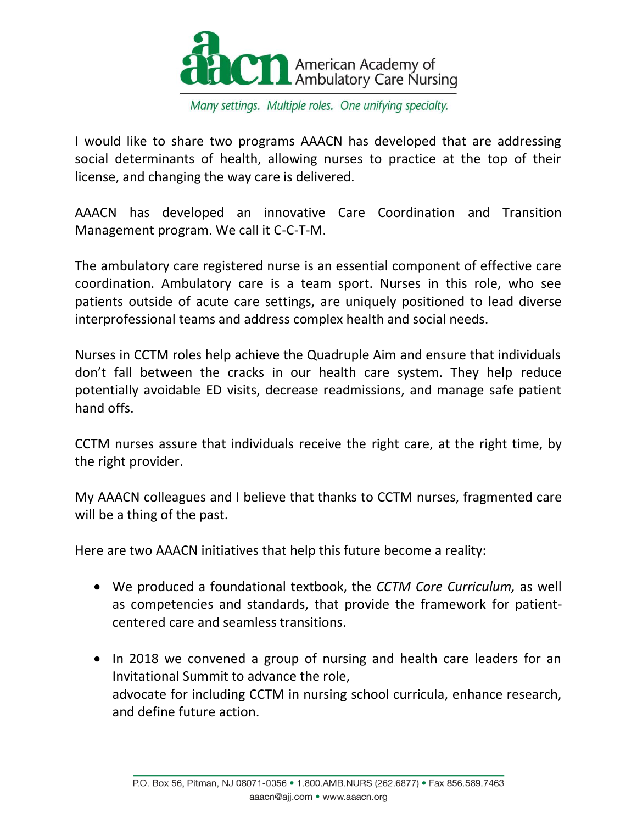

I would like to share two programs AAACN has developed that are addressing social determinants of health, allowing nurses to practice at the top of their license, and changing the way care is delivered.

AAACN has developed an innovative Care Coordination and Transition Management program. We call it C-C-T-M.

The ambulatory care registered nurse is an essential component of effective care coordination. Ambulatory care is a team sport. Nurses in this role, who see patients outside of acute care settings, are uniquely positioned to lead diverse interprofessional teams and address complex health and social needs.

Nurses in CCTM roles help achieve the Quadruple Aim and ensure that individuals don't fall between the cracks in our health care system. They help reduce potentially avoidable ED visits, decrease readmissions, and manage safe patient hand offs.

CCTM nurses assure that individuals receive the right care, at the right time, by the right provider.

My AAACN colleagues and I believe that thanks to CCTM nurses, fragmented care will be a thing of the past.

Here are two AAACN initiatives that help this future become a reality:

- We produced a foundational textbook, the *CCTM Core Curriculum,* as well as competencies and standards, that provide the framework for patientcentered care and seamless transitions.
- In 2018 we convened a group of nursing and health care leaders for an Invitational Summit to advance the role, advocate for including CCTM in nursing school curricula, enhance research, and define future action.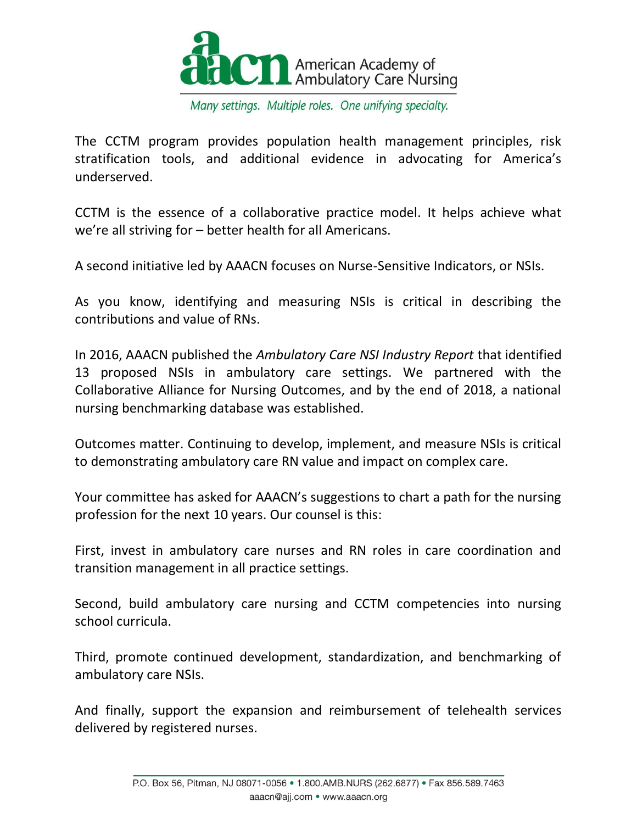

The CCTM program provides population health management principles, risk stratification tools, and additional evidence in advocating for America's underserved.

CCTM is the essence of a collaborative practice model. It helps achieve what we're all striving for – better health for all Americans.

A second initiative led by AAACN focuses on Nurse-Sensitive Indicators, or NSIs.

As you know, identifying and measuring NSIs is critical in describing the contributions and value of RNs.

In 2016, AAACN published the *Ambulatory Care NSI Industry Report* that identified 13 proposed NSIs in ambulatory care settings. We partnered with the Collaborative Alliance for Nursing Outcomes, and by the end of 2018, a national nursing benchmarking database was established.

Outcomes matter. Continuing to develop, implement, and measure NSIs is critical to demonstrating ambulatory care RN value and impact on complex care.

Your committee has asked for AAACN's suggestions to chart a path for the nursing profession for the next 10 years. Our counsel is this:

First, invest in ambulatory care nurses and RN roles in care coordination and transition management in all practice settings.

Second, build ambulatory care nursing and CCTM competencies into nursing school curricula.

Third, promote continued development, standardization, and benchmarking of ambulatory care NSIs.

And finally, support the expansion and reimbursement of telehealth services delivered by registered nurses.